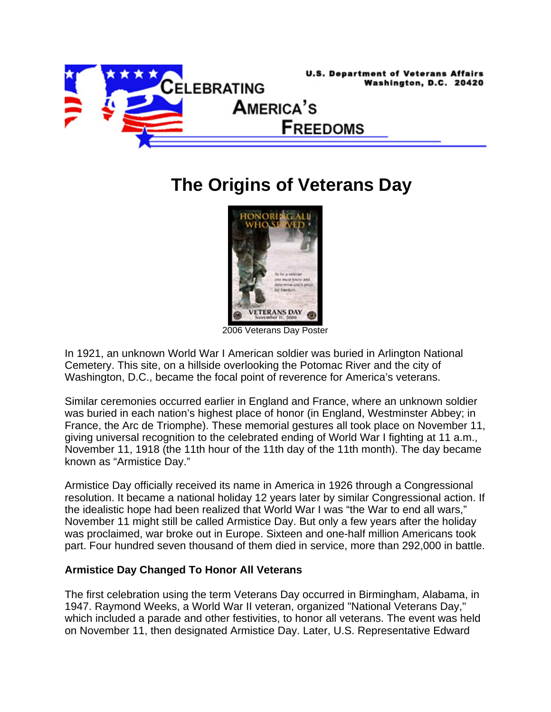

## **The Origins of Veterans Day**



2006 Veterans Day Poster

In 1921, an unknown World War I American soldier was buried in Arlington National Cemetery. This site, on a hillside overlooking the Potomac River and the city of Washington, D.C., became the focal point of reverence for America's veterans.

Similar ceremonies occurred earlier in England and France, where an unknown soldier was buried in each nation's highest place of honor (in England, Westminster Abbey; in France, the Arc de Triomphe). These memorial gestures all took place on November 11, giving universal recognition to the celebrated ending of World War I fighting at 11 a.m., November 11, 1918 (the 11th hour of the 11th day of the 11th month). The day became known as "Armistice Day."

Armistice Day officially received its name in America in 1926 through a Congressional resolution. It became a national holiday 12 years later by similar Congressional action. If the idealistic hope had been realized that World War I was "the War to end all wars," November 11 might still be called Armistice Day. But only a few years after the holiday was proclaimed, war broke out in Europe. Sixteen and one-half million Americans took part. Four hundred seven thousand of them died in service, more than 292,000 in battle.

## **Armistice Day Changed To Honor All Veterans**

The first celebration using the term Veterans Day occurred in Birmingham, Alabama, in 1947. Raymond Weeks, a World War II veteran, organized "National Veterans Day," which included a parade and other festivities, to honor all veterans. The event was held on November 11, then designated Armistice Day. Later, U.S. Representative Edward